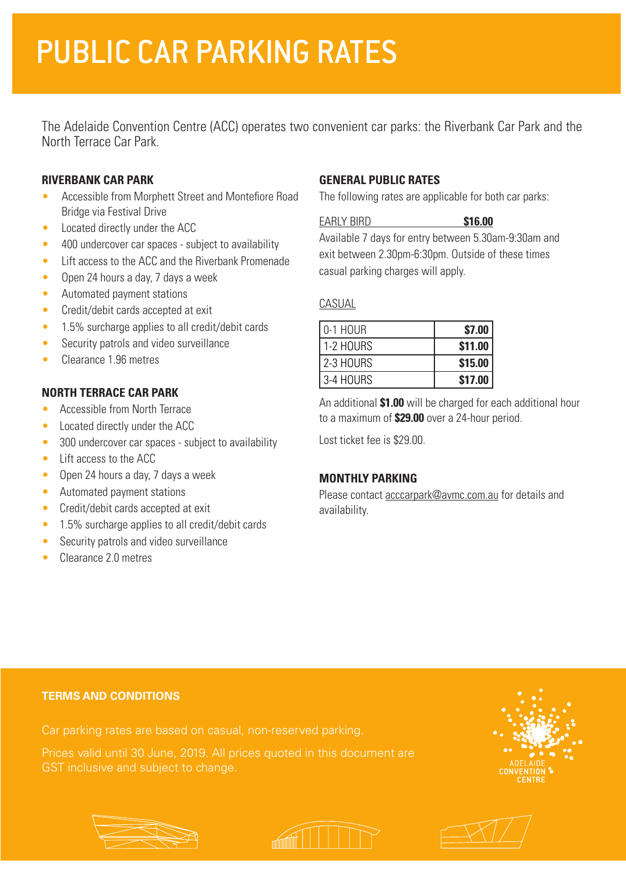# PUBLIC CAR PARKING RATES

The Adelaide Convention Centre (ACC) operates two convenient car parks: the Riverbank Car Park and the North Terrace Car Park.

### **RIVERBANK CAR PARK**

- Accessible from Morphett Street and Montefiore Road Bridge via Festival Drive
- Located directly under the ACC
- 400 undercover car spaces subject to availability
- Lift access to the ACC and the Riverbank Promenade
- Open 24 hours a day, 7 days a week
- Automated payment stations
- Credit/debit cards accepted at exit
- 1.5% surcharge applies to all credit/debit cards
- Security patrols and video surveillance
- Clearance 1.96 metres

### **NORTH TERRACE CAR PARK**

- Accessible from North Terrace
- Located directly under the ACC
- 300 undercover car spaces subject to availability
- Lift access to the ACC
- Open 24 hours a day, 7 days a week
- Automated payment stations
- Credit/debit cards accepted at exit
- 1.5% surcharge applies to all credit/debit cards
- Security patrols and video surveillance
- Clearance 2.0 metres

## **GENERAL PUBLIC RATES**

The following rates are applicable for both car parks:

EARLY BIRD **\$16.00**

Available 7 days for entry between 5.30am-9:30am and exit between 2.30pm-6:30pm. Outside of these times casual parking charges will apply.

### CASUAL

| l 0-1 HOUR  | \$7.00  |
|-------------|---------|
| 1-2 HOURS   | \$11.00 |
| l 2-3 HOURS | \$15.00 |
| l 3-4 HOURS | \$17.00 |

An additional **\$1.00** will be charged for each additional hour to a maximum of **\$29.00** over a 24-hour period.

Lost ticket fee is \$29.00.

### **MONTHLY PARKING**

Please contact acccarpark@avmc.com.au for details and availability.

#### **TERMS AND CONDITIONS**

GST inclusive and subject to change.